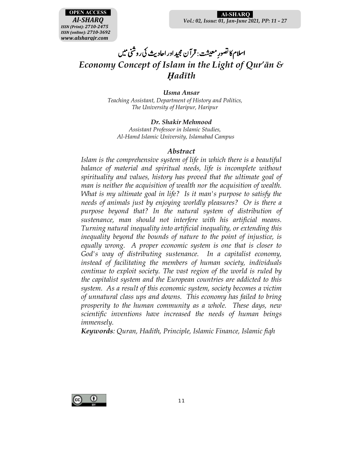

 **Al-SHARQ**S *Vol.: 02, Issue: 01, Jan-June 2021, PP: 11 - 27*

#### .<br>اسلام کا تصورِ معیشت : قرآن مجید اور احادیث  $\overline{a}$  $\cdot$ یث کی روشنی میں *Economy Concept of Islam in the Light of Qur'ān & Ḥadīth*

*Usma Ansar Teaching Assistant, Department of History and Politics, The University of Haripur, Haripur* 

### *Dr. Shakir Mehmood*

*Assistant Professor in Islamic Studies, Al-Hamd Islamic University, Islamabad Campus* 

#### *Abstract*

*Islam is the comprehensive system of life in which there is a beautiful* balance of material and spiritual needs, life is incomplete without *spirituality and values, history has proved that the ultimate goal of man is neither the acquisition of wealth nor the acquisition of wealth. What is my ultimate goal in life? Is it man's purpose to satisfy the needs of animals just by enjoying worldly pleasures? Or is there a purpose beyond that? In the natural system of distribution of sustenance, man should not interfere with his artificial means. Turning natural inequality into artificial inequality, or extending this inequality beyond the bounds of nature to the point of injustice, is equally wrong. A proper economic system is one that is closer to God's way of distributing sustenance. In a capitalist economy, instead of facilitating the members of human society, individuals continue to exploit society. The vast region of the world is ruled by the capitalist system and the European countries are addicted to this system. As a result of this economic system, society becomes a victim of unnatural class ups and downs. This economy has failed to bring prosperity to the human community as a whole. These days, new scientific inventions have increased the needs of human beings immensely.* 

*Keywords: Quran, Hadith, Principle, Islamic Finance, Islamic fiqh* 

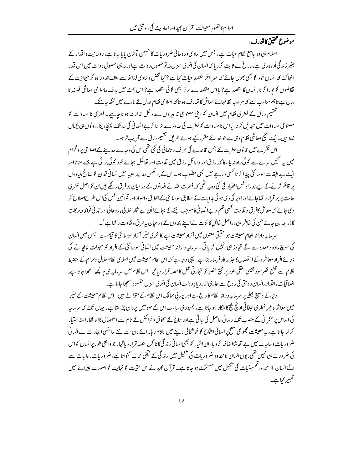## موضوع تتحقيق كاتعارف :

اسلام ہی وہ جامع نظام حیات ہے، جس میں مادی وروحانی ضروریات کا حسین توازن پایا جاتا ہے، روحانیت واقدار کے بغیر زند گی اُد ہوری ہے، تاریخ نے ثابت کر دیا کہ انسان کی اخری منز ل نہ تو حصول دولت ہےاور نہ ہی حصول دولت میں اس قدر انہاک کہ انسان خو د کو بھی بھول جائے کہ میر ااخر مقصدِ حیات کیا ہے ؟ کیا محض د نیاوی لذائذ سے لطف اندوز ہو کر حیوانیت کے تقاضوں کو پورا کرنا،انسان کا مقصد ہے؟ پااس مقصد سے برتر بھی کوئی مقصد ہے؟ اس بحث میں مدف ماسلامی معاشی فلسفہ کا بیان ہے تاہم مناسب ہے کہ مر وجہ نظامہائے معاش کا تعارف ہو تاکہ اسلامی نظام عدل کے بارے میں لکھاجا یحے۔

تقتیم رزق کے فطری نظام میں انسان کو ابنی مصنوعی تدبیر وں سے دخل انداز نہ ہو نا ح<u>ایبے</u>۔ فطری نا مساوات کو مصنوعی مساوات میں تبدیل کرنا، بااس نامساوات کو فطرت کی حدود سے بڑھا کر بےانصافی کی حد تک پہنچادینا، دونوں ہی بچیاں غلط ہیں۔ایک صحیح معاشی نظام وہی ہے جو خداکے مقرر کیے ہوئے طریق تقسیم رزق سے قریب تر ہو۔

اس فقرے میں قانون فطرت کے جس قاعدے کی طرف رہنمائی کی گئی تھی|س کی وجہ سے مدینے کے اصلاحی پر و گرام میں بیہ تنخیل سرے سے کوئی راہ نہ یا سکا کہ رزق اور وسائل رزق میں تفاوت اور تفاضُل بجائے خود کوئی برائی ہے جسے مٹانااور ایک بے طبقات سوسائٹی پہدا کرنا کسی درجے میں بھی مطلوب ہو۔اس کے بر عکس مدینہ طیبہ میں انسانی تہرن کو صالح بنیادوں پر قائم کرنے کے لیے جو راہ عمل اختیار کی گئی وہ یہ تھی کہ فطرت اللہ نے انسانوں کے در میان جوفرق رکھے ہیں ان کواصل فطری حالت پر بر قرار رکھاجائےاور اوپر کی دی ہو ئی ہدایات کے مطابق سوسا ئٹی کے اخلاق واطوار اور قوانین عمل کی اس طرح اصلاح کر د کی جائے کہ معاش کافرق و تفاوت کسی ظلم وبے انصافی کا موجب بننے کے بجائے ااُن بے شار اخلاقی ، ر وحانی اور تمہ نی فوائد وبر کات کاذریعہ بن جائے جن کی خاطر ہی دراصل خالق کا ئنات نے اپنے بند وں کے در میان بہ فرق و تفاوت رکھا ہے <sup>1</sup>۔

سر مایہ دارانہ نظام معیشت جو حقیقی معنوں میں آزاد معیشت ہے،کااخری نتیجہ آزاد سوسائٹی کا قیام ہے۔ جس میں انسان کی سوچ مادہ و معدہ سے اگے تجاوز ہی نہیں کریا تی ۔سر ماہہ دارانہ معیشت میں انسانی سوسا ئٹی کے افراد کو سہولت پہنچانے کی بحائے افراد معاشر ہے استحصال کا جذبہ کار فرمار ہتا ہے۔ یہی وجہ ہے کہ اس نظام معیشت میں اسلامی نظام حلال وحرام کے منضبط نظام سے قطع نظر سود جیسی عقلی طور پر فتیج عصر کو تجارتی عمل کا حصہ قرار دیا گیا۔اس نظام میں سرمایہ ہی ہر کچھ سمجھا جاتا ہے، اخلاقیات ،اقدار ،انسان د وستی کی روح سے عار کی از ر دیا دِ د ولت انسان کی اثر کی منز ل مقصود سمجھا جاتا ہے۔

د نیاکے وسیع خطے پر سرمایہ درانہ نظام کا راج ہے اور پور پی ممالک اس نظام کے متوالے ہیں۔ اس نظام معیشت کے نتیجہ میں معاشر ہ غیر فطری طبقاتی اونچ نتیج کا شکار ہو جاتا ہے، جمہوری ساست اس کے حلومیں پر وان چڑ ھتا ہے، یہاں تک کہ سرماسر کی اساس پر حکمرانی کے منصب تکۓ رسائی حاصل کی حاتی ہےاور ساج کے حقوق وفرائض کے نام سے استحصال کاانو کھاراستہ اختیار کر لیاجاتا ہے، یہ معیشت مجموعی سطح پر انسانی اجتماع کو خوشحالی دینے میں ناکام ر ہا۔ائے دن نت نئے سائنسی ایجادات نے انسانی ضر وریات و جاجات میں بے تجابثنااضافیہ کردیا،ان اشیاء کو بھی انسانی زندگی کا نا گزبر حصہ قرار دیا گیا، جو واقعی طور پرانسان کواس کی ضرورت ہی نہیں تھی، یوں انسان لامحدود ضروریات کی پیچیل میں زندگی کے فیمتی لمحات گنواتا ہے،ضروریات،حاجات سے اگئے انسان لا محدود تحسینیات کی پھیل میں منھمکٹ ہو جاتا ہے۔ قرآن مجید نے اس حقیت کو نہایت خوبصورت پیرائے میں تعبير كباہے۔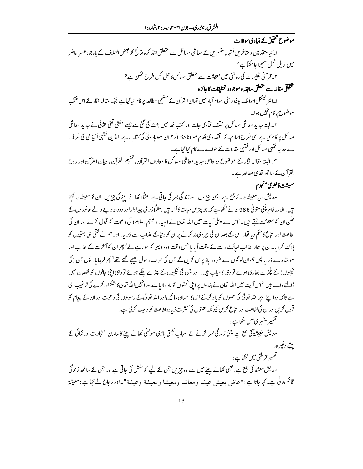موضوع تحقیق کے بنیادی سوالات ا۔ کیا متقدمین و متاخرین فقہاء مفسرین کے معاشی مسائل سے متعلق اخذ کرہ نیائج کو بعض اختلاف کے باوجو دعصر حاضر میں قابل عمل سمجھاجاسکتاہے؟ ۲۔ قرآنی تعلیمات کی روشنی میں معیشت سے متعلق مسائل کاحل <sup>کس</sup> طرح ممکن ہے؟ تخقيقي مقاله سے متعلق سابقہ وموجودہ تحقيقات كاجائزہ

ا۔انٹر نیشنل اسلامک بو نیورسٹی اسلام آباد میں تبیان القرآن کے منہجی مطالعہ پر کام کیاگیا ہے جبکہ مقالہ نگار کے اس منتخب موضوع پر کام نہیں ہوا۔

۲۔البتہ جدید معاشی مسائل پر مخلف فمآوی جات اور کت فقہ میں بحث کی گئی ہے جیسے مفتی تقی عثانی نے جدید معاشی مسائل پر کام <sup>ہ</sup>یا ہے اسی طرح اسلام کے اقتصاد کی نظام مولا نا حفظ الرحمان سیوہار ویؒ کی *کت*اب ہے۔انڈین فقہی اکیڈ می کی طرف سے جدید فقہی مسائل اور فقہی مقالات کے حوالے سے کام کیا گیاہے۔

س البتہ مقالہ <sup>2</sup>گار کے موضوع وہ خاص حبد یدِ معاشی مسائل کا معارف القرآن، تفہیم القرآن ، تبیان القرآن اور روح القرآن کے ساتھ ثقابلی مطالعہ ہے۔

### معيشت كالغوى مفهوم

معایش : بیر معیشت کے جمع ہے۔ جن چیز وں سے زندگی بسر کی جاتی ہے۔ مثلاً کھانے پینے کی چیزیں۔ان کو معیشت کہتے ہیں۔علامہ طاہر پٹنی متوفی 986ھ نے لکھاہے کہ جو چڑیں حیات کاآلہ ہیں، مثلاً زر عی پیداوار اور دودھ دینے والے جانوروں کے تھن ان کو معیشت کہتے ہیں۔<sup>2</sup>اس سے پہلی آیات میں اللہ تعالیٰ نے انبیا<sub>ء</sub> (علیہم السلام) کی دعوت کو قبول کرنے اور ان کی اطاعت اور انتاع کا حکم دیا تھا۔اس کے بعد ان کی پیروی نہ کرنے پر ان کو د نیاکے عذاب سے ڈرایا۔اور ہم نے کتنی ہی بستیوں کو ہلاک کردیا۔ان پر ہماراعذاب اجانک رات کے وقت آیا یا جس وقت وہ دو پہر کو سو رہے تے <sup>3</sup> پھران کوآ خرت کے عذاب اور مواخذہ سے ڈرایا پس ہم ان لو گوں سے ضرور باز پرس کریں گے جن کی طرف رسول ب<u>ھی</u>جے گئے تھے<sup>4</sup> پھر فرمایا : پس جن ( کی نیکیوں) کے پلڑے بھاری ہوئے تو وہی کامیاب ہیں۔اور جن کی نیکیوں کے پلڑے ملکے ہوئے تو وہی اپنی جانوں کو نقصان میں ڈالنے والے ہیں <sup>5</sup>اس آیت میں اللہ تعالیٰ نے بند وں پراپنی نعمتوں کو باد دلایا ہےاور انہیں اللہ تعالیٰ کاشکرادا کرے کی ترغیب دی ہے تاکہ وہ اپنے اوپر اللہ تعالیٰ کی نعمتوں کو یاد کرکے اس کااحسان مانیں اور اللہ تعالیٰ کے رسولوں کی دعوت اور ان کے پیغام کو قبول کریںاور ان کی اطاعت اور انتاع کریں کیونکہ نعمتوں کی کثرت زیادہ اطاعت کو واجب کرتی ہے۔ تفسیر مظہر ی میں لکھاہے :

معایش مُعِینَتُہؓ کی جمع ہے لیمنی زند گی بسر کرنے کے اسیاب کھیتی باڑی مولیثی کھانے بننے کاسامان 'تجارت اور کمائی کے يىشے وغير ہ۔

تفسير قرطبّي ميں لکھاہے :

معایش معشۃ کی جمع ہے، یعنی کھانے بنے میں سے وہ چزیں جن کے لیے کو حشن کی حاتی ہےاور جن کے ساتھ زند گی قائم ہوتی ہے۔ کہاجاتا ہے : "عاش یعیش عیشا ومعاشا ومعیشا ومعیشة وعیشة"۔ا*در زجاج نے کہا*ہے : معیثة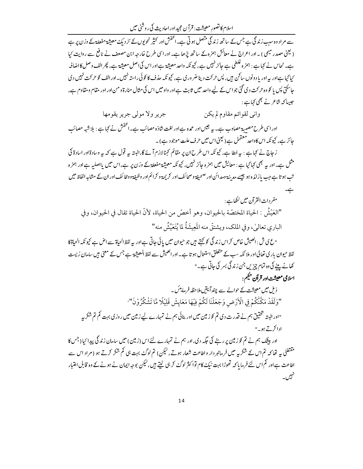اسلام کاتصور معیشت: قرآن مجید اور احادیث کی روشنی میں

سے مراد وہ سب زند گی ہے جس کے ساتھ زند گی متصل ہوتی ہے۔ا<sup>حفوش</sup> اور کثیر نحویوں کے نز دیک<sup>ے</sup> معیثیۃ مفعلة کے وزن پر ہے ( کیجی مصدر میمی ) یہ اور اعراج نے معائش ہمز ہ کے ساتھ پڑھا ہے۔ اور اسی طرح خارجہ ابن مصعف نے نافع سے روایت کیا ہے۔ نجاس نے کہاہے : ہمز ہ غلطی ہے جائز نہیں ہے، کیونکہ واحد معیشۃ ہےاور اس کی اصل معیشۃ ہے، پھر الف وصل کااضافير <sup>م</sup>با<sup>ی</sup>جا ہے اور یہ اور یاد ونوں سا<sup>ک</sup>ن ہیں، پس حرکت دینا ضر وری ہے، کیونکہ حذف کا کوئی راستہ نہیں۔اور الف کو حرکت نہیں دی جاسکتی پس یا کو وہ حرکت دی گئی جو اس کے لیے واحد میں ثابت ہے اور واو میں اس کی مثال منارۃ ومن اور اور مقام ومقاوم ہے، جیپاکہ شاعرنے بھی کہاہے :

> واني لقوائم مقاوم لم يكن جرير ولا مولى جرير يقومها

اور اسی طرح مصیبۃ مصاوب ہے۔ بیہ جیس اور عمدہ ہےاور لغت شاذہ مصائب ہے۔انخفش نے کہاہے : بلاشبہ مصائب جائز ہے، کیونکہ اسکاواحد معتمل ہے ( یعنی اس میں حرف علت موجود ہے)۔

ز جاج نے کہا ہے : یہ خطا ہے، کیونکہ اس طرح ان پر مقائم کہنا لازم آ ئے گا،البتہ پہ قول ہے کہ یہ وسادة اور اسادة کي مثل ہے۔اور بہ بھی کہا گیا ہے : معایش میں ہمزہ جائز نہیں، کیونکہ معیشۃ مفعلۃکے وزن پر ہے،اس میں یااصلیہ ہےاور ہمزہ تب ہو تا ہے جب بازائدہ ہو جیسے مدینۃ ومدائن اور صحیفۃ وصحا ئف اور کریمۃ و کرائم اور وظیفۃ ووظا ئف اور ان کے مشابہ الفاظ میں ہے۔

مفردات القرآن میں لکھاہے : "العَيْشُ : الحياة المختصَّة بالحيوان، وهو أخصَّ من الحياة، لأنَّ الحياة تقال في الحيوان، وفي الباري تعالىٰ، وفي الملك، ويشتقُّ منه المَعِيشَةُ لما يُتَعَيَّشُ منه"

"ع ی ش : العبیش خاص کر اس زند گی کو کہتے ہیں جو حیوان میں پائی جاتی ہے اور یہ لفظ الحیاة سے اص ہے کیونکہ الحیاة كا لفظ حیوان باری تعالیٰ اور ملا ئکہ سب کے متعلق استعمال ہو تا ہے ۔اور العیش سے لفظ المعیشۃ ہے جس کے معنی ہیں سامان زیست کھانے بینے کی وہ تمام چزیں جن زند گی بسر کی جاتی ہے۔"

اسلامی معیشت اور قرآن حکیم :

ذیل میں معیشت کے حوالے سے چند آئیتیں ملاحظہ فرمایٹس۔ "وَلَقَدْ مَكَّنَّكُمْ فِي الْأَرْضِ وَجَعَلْنَا لَكُمْ فِيْهَا مَعَايشَ قَلِيْلًا مَّا تَشْكُرُوْنَ" "اور البتہ تحقیق ہم نے قدرت دی تم کو زمین میں اور بنائی ہم نے تمہارے لیے زمین میں روزی بہت کم تم شکر بیہ ادا کرتے ہو۔"

اور بیٹک ہم نے تم کو زمین پر رہنے کی جگہ دی،اور ہم نے تمہارے لئے اس (زمین) میں سامان زند گی پیدا کیا (جس کا مقتضیٰ سے تھا کہ تم اس کے شکریہ میں فرمانبر دار واطاعت شعار ہوتے، لیکن) تم لوگۓ بہت ہی کم شکر کرتے ہو (مراد اس سے اطاعت ہےاور کم اس لئے فرمایا کہ تھوڑا بہت نیکِ کام توا کثر لوگٹ کر ہی لیتے ہیں، لیکن بوجہ ایمان نے ہونے کے وہ قابل اعتبار نہیں<br>تھیل ا۔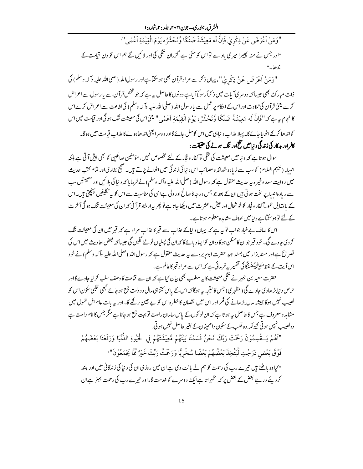"وَمَنْ اَعْرَضَ عَنْ ذِكْرِيْ فَإِنَّ لَه مَعِيْشَةً ضَنْكًا وَّنَحْشُرُه يَوْمَ الْقِيٰمَةِ اَعْمٰى" "اور جس نے منہ پھیرا میری یاد سے تواس کو ملنی ہے گزران میگی کی اور لائنیں گے ہم اس کو دن قیامت کے اند ھا۔"

"وَمَنْ أَعْرَضَ عَنْ فِرْحْدِيْ"، يہاں ذكر سے مراد قرآن بھى ہوسكتا ہےاور رسول الله (صلى الله عليه وآله وسلم) كي .<br>ذات مبارک بھی حبیبا کہ دوسر کیآ پات میں ذ کراًر سولاً آ با ہے دونوں کاحاصل <sub>سے</sub> ہے کہ جو شخص قرآن سے پارسول سے اعراض کرے یعنی قرآن کی تلاوت اور اس کے احکام پر عمل سے پارسول اللہ (صلی اللہ علیہ وآلہ وسلم) کی اطاعت سے اعراض کرے اس كانجام ہر ہے كہ "فَإِنَّ لَه مَعِيشَةً ضَنْكًا وَّنَحْشُرُه يَوْمَ الْقِيٰهَةِ اَعْدٰ بِي"لِيمْحاس كي معيشت تنگ ہو گیاور قيامت ميں اس

کواند ھا کرکے اٹھایا جائے گا۔ پہلا عذاب دیناہی میں اس کو مل جائے گااور د وسر الیعنی اند ھاہونے کاعذاب قیامت میں ہو گا۔ کافراور بدکار کی زند گی د نبامیں تلخ اور تنگ ہونے کی حقیقت :

سوال ہو تا ہے کہ د نیامیں معیشت کی ننگی تو کفار و فجار کے لئے مخصوص نہیں، مؤمنین صالحین کو بھی پیش آ تی ہے بلکہ انیبا<sub>ء</sub> (علیہم السلام) کو سب سے زیادہ شدائد و مصائب اس د نیا کی زند گی میں اٹھانے پڑتے ہیں۔ صجیح بخاری اور تمام کتب حدیث میں روایت سعد وغیر ہ ہیے حدیث منقول ہے کہ رسول اللہ (صلی اللہ علیہ وآلہ وسلم) نے فرمایا کہ دنیا کی بلائیں اور مصیبتیں س سے زیادہ انبیاء پر سخت ہو تی ہیں ان کے بعد جو جس در حہ کا صالح اور ولی ہےاسی کی مناسبت سے اس کو یہ تکلیفیں پہنچتی ہیں۔اس کے پالقابل عموماً کفار و فجار کو خوشحال اور عیش و عشرت میں دیکھا جاتا ہے تو پھر پہ ارشاد قرآنی کہ ان کی معیشت ننگ ہو گی آخرت کے لئے تو ہو سکتا ہے دیامیں خلاف مشاہدہ معلوم ہو تا ہے۔

اس کا صاف بے غبار جواب تو پہ ہے کہ یہاں دنیاکے عذاب سے قبر کا عذاب مراد ہے کہ قبر میں ان کی معیشت ننگ کر دی جاوے گی۔خود قبر جوان کامسکن ہوگاوہان کواپیاد پائےگا کہ ان کی پسلیاں ٹوٹنے لگیں گی عبیبا کہ بعض اجادیث میں اس کی تصر تے ہےاور مند بزار میں بسند جید حضرت ابوم پرہ سے بیہ حدیث منقول ہے کہ رسول اللہ (صلى اللہ علیہ وآلہ وسلم) نے خود اسآ بت کے لفظ مَعِینَتُہ تَضُنگاً کی تفسیر سے فرمائی ہے کہ اس سے مراد قبر کاعالم ہے۔

حضرت سعید بن جبیر نے میگی معیشت کا بہ مطلب بھی بیان کیا ہے کہ ان سے قناعت کا وصف سلب کرلیا جاوے گااور حرص د نیا بڑھادی جاوے گی ( مظہر ی) جس کا نتیجہ سے ہوگا کہ اس کے پاس کتنا ہی مال و دولت جمع ہو جائے کبھی قلبی سکون اس کو نصیب نہیں ہوگا ہمیشہ مال بڑھانے کی فکر اور اس میں نقصان کاخطرہ اس کو بے چین رکھے گا۔اور بیہ بات عام اہل تمول میں مشاہد و معروف ہے جس کاحاصل ہے ہو تا ہے کہ ان لو گوں کے پاس سامان راحت تو بہت جمع ہو جاتا ہے مگر جس کا نام راحت ہے وہ نصیب نہیں ہو تی کیونکہ وہ قلب کے سکون واطمینان کے بغیر حاصل نہیں ہو تی۔

"اَهُمْ يَــقْسِمُوْنَ رَحْمَتَ رَبِّكَ نَحْنُ قَسَمْنَا بَيْنَهُمْ مَّعِيْشَتَهُمْ فِي الْحَيٰوةِ الدُّنْيَا وَرَفَعْنَا بَعْضَهُمْ

فَوْقَ بَعْضِ دَرَجْتٍ لِّيَتَّخِذَ بَعْضُهُمْ بَعْضًا سُخْرِيًّا وَرَحْمَتُ رَبِّكَ خَيْرٌ مِّّاً يَجْمَعُوْنَ" " <sub>کیا</sub>وہ باشتے ہیں تی<sub>رے ر</sub>ب کی رحمت کو ہم نے بانٹ دی ہے ان میں روزی ان کی دنیا کی زندگانی میں اور بلند کرد بئے درجے بعض کے بعض پر کہ ٹھٰہراتا ہےایک دوسرے کو خدمت گار اور تیرے رب کی رحمت بہتر ہےان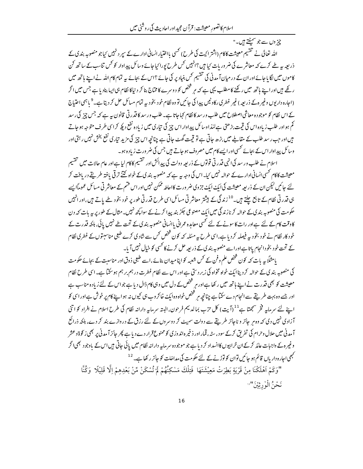چز وں سے جو سمٹتے ہیں۔" اللہ تعالیٰ نے تقسیم معیشت کاکام (اشتر ایت کی طرح) تھی بااختیار انسانی ادارے کے سپر دنہیں کیاجو منصوبہ بند ی کے ذریعہ یہ طے کرے کہ معاشر ے کی ضرور پات <sub>کی</sub>ا ہیں ؟انہیں کس طرح پورا<sup>ی</sup> جائے وسائل پیداوار کو کس تناسب کے ساتھ کن کاموں میں لگا ماجائے اور ان کے در میان آمدنی کی تقسیم کس بنیاد پر کی جائے؟اس کے بجائے ہیے تمام کام اللہ نے اپنے ہاتھ میں ر گھے ہیں اور اپنے ہاتھ میں رکھنے کا مطلب یہی ہے کہ ہر شخص کو د وسرے کا مخاج بنا کر دیناکا نظام ہی ایسا بنادیا ہے جس میں اگر (احارہ داریوں وغیر ہ کے ذریعہ ) غیر فطری رکاوٹیں پیدا کی جائیں تو وہ نظام خود بخودیہ تمام مسائل حل کر دیتا ہے۔<sup>9</sup> باہمی احتیاج کے اس نظام کو موجودہ معاشی اصطلاح میں طلب ورسد کا نظام کہاجاتا ہے۔ طلب ورسد کا قدر تی قانون ہیرہے کہ جس چیز کی رسد کم ہو اور طلب زیادہ اس کی قیمت بڑھتی ہے للذاوسائل پیداوار اس چیز کی تیاری میں زیادہ نفع دبک*ھ کر*اسی طرف متوجہ ہوجاتے ہیں اور حب رسد طلب کے مقالے میں بڑھ جاتی ہے تو قیمت گھٹ جاتی ہے چنانچہ اس چیز کی مزید تیار کی نفع بخش نہیں رہتی اور وسائل پیدِاوار اس کے بجائے کسی اور ایسے کام میں مصروف ہو جاتے ہیں جس کی ضر ورت زیادہ ہو۔

اسلام نے طلب ورسد کی انہی قدر تی قوتوں کے ذریعہ دولت کی پیدائش اور تقسیم کاکام لیا ہے اور عام حالات میں تقسیم معیشت کاکام <sup>کھی</sup>ں انسانی ادارےکے حوالہ نہیں <sup>ر</sup>با۔ اس کی وجہ یہ ہے کہ منصوبہ بندی کے خواہ کتنے تر قی یافتہ طریقے دریافت کر لئے جائیں لیکن ان کے ذریعہ معیشت کی ایک ایک جزوی ضرورت کااحاطہ ممکن نہیں اور اس فتم کے معاشر تی مسائل عموماًا پسے ہی قدرتی نظام کے تابع چلتے ہیں۔<sup>10</sup>زند گی کے بیشتر معاشر تی مسائل اسی طرح قدرتی طور پر خود بخود طے پاتے ہیں،اورانہیں حکومت کی منصوبہ بند ک کے حوالہ کرنازند گی میں ایک مصنوعی جکڑ بند پیدا کرنے کے سواکچھ نہیں۔مثال کے طور پر ہہ بات کہ دن کاوقت کام کے لئے ہےاور رات کاسونے کے لئے کسی معاہدہ عمرانی باانسانی منصوبہ بند کی کے تحت طے نہیں پائی، ہلکہ قدرت کے خود کار نظام نے خود بخود یہ فیصلہ کردیا ہے،اسی طرح یہ مسّلہ کہ کون شخص کس سے شادی کرے طبعی مناسبتوں کے فطری نظام کے تحت خود بخودانحام باتا ہےاوراسے منصوبہ بند پ کے ذریعہ حل کرنے کا کسی کو خیال نہیں آیا۔

یامثلاً <sub>بیر</sub> مات کہ کون شخص علم و<sup>ف</sup>ن کے <sup>ک</sup>س شعبہ کو اپنامیدان بنائے،اسے طبعی ذوق اور مناسبت کے بجائے حکومت کی منصوبہ بندی کے حوالہ کردینا ایک خواہ مخواہ کی زبر دستی ہے اور اس سے نظام فطرت درہم برہم ہوسکتا ہے۔اسی طرح نظام معیشت کو بھی قدرت نے اپنے ہاتھ میں رکھا ہے اور ہر شخص کے دل میں وہی کام ڈال دیا ہے جو اس کے لئے زیادہ مناسب ہے اور جسے وہ بہت طریقے سے انجام دے سکتا ہے چنانچہ ہر شخص خواہ وہ ایک خاکر وب ہی کیوں نہ ہو اپنے کام پر خوش ہےاور اسی کو اپنے لئے سرمایہ فخر سمجھتا ہے<sup>11</sup> (آیت) کل حزب بمالدیہم فرحون، البتہ سرمایہ دارانہ نظام کی طرح اسلام نے افراد کو اتنی آزادی نہیں دی کہ وہ م جائز و ناجائز طریقے سے دولت سمیٹ کر دوسروں کے لئے رزق کے دروازے بند کر دے، ہلکہ ذرائع آمدنی میں حلال وحرام کی تفریق کرکے سود ،سٹہ، قمار اور ذخیر ہ اندوز کی کو ممنوع قرار دے دیاہے پھر جائز آمدنی پر بھی ز کوۃو عشر وغیر ہے واجبات عائد کرکے ان خرابیوں کاانسداد کر دیا ہے جو موجودہ سرمایہ دارانہ نظام میں پائی جاتی ہیں اس کے باوجود بھی اگر <sup>مجھی</sup> اجارہ داریاں قائم ہو جائیں توان کو توڑنے کے لئے حکومت کی مداخلت کو جائز رکھا ہے۔ <sup>12</sup>

"وَكَمْ اَهْلَكْنَا مِنْ قَرْيَةٍ بَطِرَتْ مَعِيْشَتَهَا ۖ فَتِلْكَ مَسْكِنُهُمْ لَمْ تُسْكَنْ مِّنْ بَعْدِهِمْ إلَّا قَلِيْلًا ۚ وَكُنَّا نَحْنُ الْوٰرِثِينَ"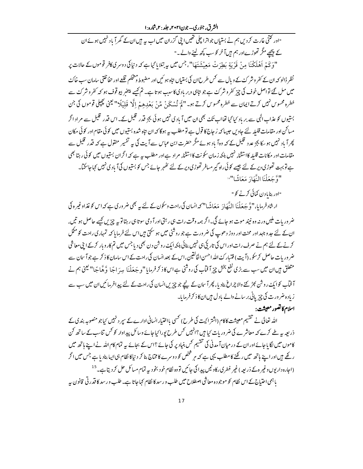الشرق، جنوري– جون۲۰۲۱، جلد : ۲،شاره :۱

"اور کتنی غارت کر دیں ہم نے بستیاں جواترا چلی تھیں اپنی گزران میں اب یہ بیں ان کے گھرآ یاد نہیں ہوئے ان کے پیچھے مگر تھوڑےاور ہم ہیںآخر کو سب کچھ لینے والے۔"

"وَكَمْ اَهْلَكْنَا مِنْ قَرْيَةِ بَطِرَتْ مَعِيْشَتَهَا"، جس میں پہ بتلایا گیاہے کہ دنیا کی دوسر کی کافر قوموں کے حالات پر نظر ڈالو کہ ان کے کفر وشر کۓکے و پال سے کس طرح ان کی بستیاں بتاہ ہو ئیں اور مضبوط و متحکم قلعے اور حفاظتی سامان سب خاک میں مل گئے تواصل خوف کی چز کفر وشر کۓ ہے جو تاہی وبر باد کی کاسب ہو تا ہے۔ تم کیسے پیخر بیو قوف ہو کہ کفر وشر کۓ سے خطرہ محسوس نہیں کرتے ایمان سے خطرہ محسوس کرتے ہو۔" کَمْ تُدْ یَحْدُ مِّنْ بَعْدِهِمْ إِلَّا قَلِیْلَا" لینی کچچلی قوموں کی جن بستیوں کو عذاب الٰہی سے بر باد کیا گیا تھااب تکۓ بھی ان میں آ یادی نہیں ہوئی بجز قدر قلیل کے۔اس قدر قلیل سے مراد اگر مساکن اور مقامات قلیلہ لئے جاویں حبیبا کہ زجاج کا قول ہے تو مطلب پہ ہوگا کہ ان نتاہ شدہ بستیوں میں کوئی مقام اور کوئی مکان پھر آ یاد نہیں ہو بچا بجز عدد قلیل کے کہ وہ آ باد ہوئے مگر حضرت ابن عباس سے آیت کی بیہ تفسیر منقول ہے کہ قدر قلیل سے مقامات اور مکانات قلیلہ کااستثنا<sub>ء</sub> نہیں بلکہ زمان سکونت کااستثنا<sub>ء</sub> مراد ہےاور مطلب یہ ہے کہ اگران بستیوں میں کوئی رہتا بھی ہے تو بہت تھوڑی دیرکے لئے جیسے کوئی راہ گیر مسافر تھوڑی دیرکے لئے ٹھہر جائے جس کو بستیوں کیآ یادی نہیں کہاجاسکتا۔ "وَّجَعَلْنَا النَّهَارَ مَعَاشًا"<sup>؛</sup>

"اور بنایادن کمائی کرنے کو "

ارشاد فرمایا،"وَّ جَعَلْنَا النَّهَادَ مَعَاشًا" کہ انسان کی راحت وسکون کے لئے یہ بھی ضروری ہے کہ اس کو غذاوغیر ہ کی

ضرور بات ملیں ورنہ وہ نبیْد موت ہو جائے گی۔اگر ہمہ وقت رات ہی رہتی اور آ دمی سوتا ہی رہتا تو یہ چزیں کہے حاصل ہو تیں، ان کے لئے جد وجہد اور محنت اور دوڑ دھوپ کی ضرورت ہے جو روشنی میں ہو سکتی ہیں اس لئے فرمایا <sub>ک</sub>ہ تمہماری راحت کو مکل کرنے کے لئے ہم نے صرف رات اور اس کی تاریکی ہی نہیں بنائی بلکہ ایک روش دن بھی دیا جس میں تم کار و بار کرکے اپنی معاشی ضر وریات حاصل کرسکو، (آیت) فتیار ک<sup>ے</sup> اللہ احسن الخالقین، اس کے بعد انسان کی راحت کے اس سامان کا ذکر ہے جو آ سان سے متعلق ہیں ان میں سب سے بڑی نفع بخش چیز آ فیآب کی روشنی ہے اس کا ذکر فرمایا "و جَعَلْنَا بِسِرَ اجًا وَّهَاجًا" ليمنى ہم نے آ فیآب کوایک روشن کجڑ کئے والا چراغ بنادیا، پھر آ سان کے پیچے جو چیزیں انسان کی راحت کے لئے پیدافر مائیں ان میں سب سے زیادہ ضرورت کی چیز پانی بر سانے والے بادل ہیں ان کاذ کر فرمایا۔

اسلام کا تصور معیشت :

اللہ تعالیٰ نے تقسیم معیشت کاکام (اشتر اکیت کی طرح) کسی بااختیار انسانی ادارے کے سپر د نہیں کیاجو منصوبہ بندی کے ذریعہ ہے طے کرے کہ معاشرے کی ضروریات کیا ہیں ؟انہیں کس طرح پورا کیا جائے وسائل پیداوار کو کس تناسب کے ساتھ کن کاموں میں لگایا جائے اور ان کے در میان آمدنی کی تقسیم کس بنیاد پر کی جائے ؟اس کے بجائے یہ تمام کام اللہ نے اپنے ہاتھ میں رکھے ہیں اور اپنے ہاتھ میں رکھنے کا مطلب یہی ہے کہ م<sub>یر</sub> شخص کو د وسرے کا مختاج بنا کر دیا کا نظام ہی ایبا بنادیا ہے جس میں اگر (اجارہ داریوں وغیر ہ کے ذریعہ ) غیر فطری رکاوٹیں پیدا کی جائیں تو وہ نظام خو د بخو دیہ تمام مسائل حل کر دیتا ہے۔<sup>15</sup> ،<br>باہمی احتیاج کے اس نظام کو موجودہ معاشی اصطلاح میں طلب و رسد کا نظام کہا جاتا ہے۔ طلب ورسد کا قدر تی قانون ہیہ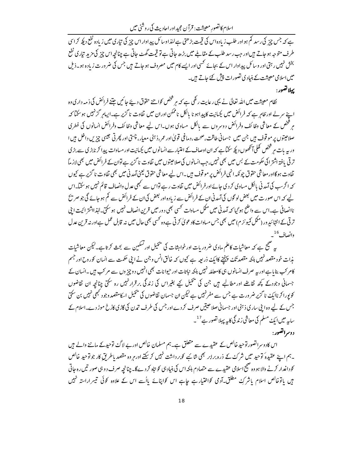اسلام کانصورِ معیشت: قرآن مجیداور احادیث کی روشی میں

ہے کہ جس چیز کی رسد کم ہواور طلب زیادہاس کی قیمت بڑھتی ہے للذاوسائل پیداواراس چیز کی تیاری میں زیادہ نفع دیک*ے* کراس طرف متوجہ ہو جاتے ہیںاور جب رسد طلب کے مقابلے میں بڑھ جاتی ہے تو قیمت گھٹ جاتی ہے چنانچہ اس چیز کی مزید تیاری نفع بخش نہیں رہتی اور وسائل پیداوار اس کے بجائے کسی اور ایسے کام میں مصروف ہوجاتے ہیں جس کی ضرورت زیادہ ہو۔ذیل میں اسلامی معیشت کے بنیاد کی تصورات پیش کئے جاتے ہیں۔

يهلا تضور:

نظام معیشت میں اللہ تعالیٰ نے یہی رعایت رکھی ہے کہ ہر شخص کواتنے حقوق دیئے جائیں جتنے فرائض کی ذمہ داری وہ اپنے سرلے اورظامر ہے کہ فرائض میں کچپانیت کا پیداہو نا بالکل ناممکن اوران میں تفاوت نا گزیر ہے۔ایپامر گزنہیں ہوسکتا کہ مر شخص کے معاشی وظائف وفرائض دوسروں سے پالکل مساوی ہوں۔اس لیے معاشی وظائف وفرائض انسانوں کی فطری صلاحیتوں پر موقوف ہیں جن میں جسمانی طاقت،صحت،دماغی قویٰاادر عمر،ذہنی معیار، چستی اور پھر تی جیسی چزیں داخل ہیں ا ور یہ بات م<sub>یں</sub> شخص کھلی آنکھوں دیکھ سکتا ہے کہ ان اوصاف کے اعتبار سے انسانوں میں کیمانیت اور مساوات پیدا کر نابڑی سے بڑی تر تی یافتہ اشتر اکی حکومت کے بس میں بھی نہیں،جب انسانوں کی صلاحیتوں میں تفاوت نا گزیر ہے توان کے فرائض میں بھی لازماً تفاوت ہوگااور معاشی حقوق چونکہ انہی فرائض پر مو قوف ہیں۔اس لیے معاشی حقوق یعنی آمدنی میں بھی تفاوت نا گزیرے کیوں کہ اگرسب کی آمد نی بالکل مساوی کر دی جائے اور فرائض میں تفاوت رہے تواس سے کبھی عدل وانصاف قائم نہیں ہوسکتا۔اس لیے کہ اس صورت میں بعض لو گوں کی آمدنی ان کے فرائض سے زیادہ اور بعض کی ان کے فرائض سے کم ہو جائے گی جو صر پح ناانصافی ہے۔اس سے واضح ہو گیا کہ آمدنی میں ممکل مساوات کسی بھی دورمیں قرین انصاف نہیں ہوسکتی۔لہٰذااشتر ایت ا بی تر تی بے انتہائید ور (مکمل کمیونز م) میں بھی جس مساوات کاد عویٰ کرتی ہے وہ کسی بھی حال میں نہ قابل عمل ہےاور نہ قرین عدل وانصاف <sup>16</sup>۔

یہ صحیح ہے کہ معاشیات کاعلم مادی ضروریات اور خواہشات کی پھیل اور تسکین سے بحث کرتا ہے۔کیکن معاشیات مذات خود مقصد نہیں بلکہ مقصد تک پہنچنے کاایک ذریعہ ہے کیوں کہ خالق انس وجن نے اپنی حکمت سے انسان کورورح اور جسم کامر کب بنایاہے اور یہ صرف انسانوں ہی کامعاملہ نہیں بلکہ نباتات اور حیوانات بھی انہیں دوچز وں سے مر کب ہیں ۔انسان کے جسمانی وجودکے کچھ تقاضے اور مطالبے ہیں جن کی پنجیل کیے بغیراس کی زندگی برقرار نہیں رہ سکتی چنانچہ ان تقاضوں کو پورا کر ناایک نا گزیر ضر ورت ہے جس سے مفرنہیں ہے لیکن ان جسمان تقاضوں کی پلچیل ا<sub>سک</sub>امقصد وجود <sup>کب</sup>ھی نہیں بن سکتی جس کے لیے وہ اپنی ساری ذہنی اور جسمانی صلاحیتیں صرف کردے اور جس کی طرف تیمرن کی گاڑی کارُخ موڑ دے۔اسلام کے سایہ میں ایک مسلم کی معاشی زند گی کایہ پہلا تصور ہے <sup>17</sup>۔

دوسراتضور:

اس کاد وسراتصور توحید خالص کے عقیدے سے متعلق ہے۔ہم مسلمان خالص اور بے لاگ توحیدکے ماننے والے ہیں ۔ہم اپنے عقیدہٗ توحید میں شرکٹ کے ذرہ برابر بھی شائبے کوبر داشت نہیں کر سکتے اور ہروہ مقصد یاطریقِ کار جوتوحید خالص کوداغدار کرنے والا ہو وہ صحیح اسلامی عقیدے سے متصادم ہلکہ اس کی بنیاد ہی کو بتاہ کردے گا۔ چنانچہ صرف د وہی صور تیں رہ جاتی ہیں یاتوخالص اسلام یاشر کِ مطلق آدمی کواختیارہے جاہے اس کواپنائے پااُسے اس کے علاوہ کوئی تیسراراستہ نہیں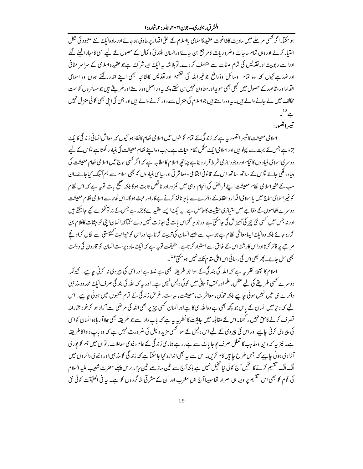ہو سکتا۔اگر کسی مرحلے میں مادیت کاطاغوت عقیدۂاسلامی یااسلام کے اعلٰی اقدار پر حادی ہو جائے اور مادہ ایک<sup>ے</sup> نئے معبود کی شکل اختیار کرلے اور وہی تمام حاجات وضر وریات کامر جع بن جائےاورانسان بلندئ وکمال کے حصول کے لیے اسی کاسہارالینے لگے اوراسے رپوبیت اور نقذیس کی تمام صفات سے متصف کردے۔ تو بلاشہ یہ ایک ایپاشر کٹ ہےجو عقیدہ اسلامی کے سراسر منافی اورضدہے کیوں کہ وہ تمام ِ وسائل وذرائع جوغیراللہ کی تعظیم اور تقذیس کاشائبہ بھی اپنے اندررکھتے ہوں وہ اسلامی اقدارادر مقاصدکے حصول میں کبھی بھی مویداور معاون نہیں بن سکتے ہاکہ یہ دراصل وہ راستے اور طریقے ہیں جومسافر وں کو سمت مخالف میں لے جانے والے ہیں۔ یہ وہ راستے ہیں جواسلام کی منزل سے دور کرنے والے ہیں اور جن کی اپنی بھی کوئی منزل نہیں  $-$ <sup>18</sup> $\leftarrow$ تيبراتفيون

اسلامی معیشت کا تیسر اتصور پہ ہے کہ زندگی کے تمام گوشوں میں اسلامی نظام کانفاذ ہو کیوں کہ معاش انسانی زندگی کاایک جزوہے جس کے بہت سے پہلو ہیں اوراسلامی ایک ممکل نظام حیات ہے۔جب وہ اپنے نظام معیشت کی بنیاد رکھتاہے تواس کے لیے د وسر پی اسلامی بنیاد وں کا قیام اور وجو دلاز می شرط قرار دیتاہے چنانچہ اسلام کامطالبہ ہے کہ اگر کسی ساج میں اسلامی نظام معیشت کی بنیاد رکھی جائے تواس کے ساتھ ساتھ اس کے قانونی اجتماعی ومعاشر تی اور سایپ بنیاد وں کو بھی اسلام سے ہم آہنگ کیاجائے۔ان سب کے بغیراسلامی نظام معیشت اپنے فرائض کی انحام دہی میں کمز وراور نا قص ثابت ہوگا بلکہ صحیح بات توبہ ہے کہ اس نظام کو غیر اسلامی ساج میں پااسلامی اقدار وعقائد کے دائرے سے باہرِ نافذ کرنے بے کاراور عبث ہوگا۔اس لحاظ سے اسلامی نظام معیشت دوسرے نظاموں کے مقابلے میں امتیازی حیثیت کاحامل ہے۔ یہ ایک ایسے عقیدے کاجز<sub>ء</sub> ہے جس کے نہ تو ٹکڑے کیے جاسکتے ہیں اور نہ جس میں کھی نئی چیز کی آمیز ش کی جاسکتی ہےاور جوہر گزاس بات کی اجازت نہیں دے سکتاکہ انسان اپنی خواہشات کاغلام بن کررہ جائے بلکہ وہ ایک ایبامعاشی نظام ہے جوسب سے پہلے انسان کی تربیت کرتاہےاوراس کو حیوانیت کیمپستی سے نکال کراونجے مر ہے پر فائز کرتااوراس کار شتہ اس کے خالق سے استوار کرتاہے۔حقیقت تو بہ ہے کہ ایک مادہ پرست انسان کو قارون کی دولت بھی مل جائے۔ پھر بھی اس کی رسائی اس اعلیٰ مقام تک<sup>ے نہ</sup>یں ہو سکت<sup>19</sup> ۔

اسلام کا نقطۂ نظر ہے ہے کہ اللہ کی بند گی کے سواجو طریقہ بھی ہے غلط ہے اور اسی کی پیروی نہ کرنی جاہیے۔ کیونکہ دوسرے کسی طریقے کی لیے عقل، علم اور کتب آ سانی میں کوئی دلیل نہیں ہے۔اور یہ کہ اللہ کی بند گی صرف ایک محد ود مذہبی دائرے ہی میں نہیں ہونی جاہیے بلکہ تمدّن، معاشرت، معیشت، ساِست، غرض زندگی کے تمام شعبوں میں ہونی جاہیے۔اس لیے کہ دینامیں انسان کے پاس جو کچھ بھی ہے وہ اللہ ہی کا ہے اور انسان تھسی چزیر بھی اللہ کی مرضی سے آزاد ہو کر خود مخارانہ تصرف کرنے کاحق نہیں رکھتا۔اس کے مقابلہ میں جاملیّت کا نظریہ ہیہ ہے کہ باپ دادا سے جو طریقہ بھی چلاا ر ہاہوانسان کواسی کی پیروی کرنی جاہیے اور اس کی پیروی کے لیے اس دلیل کے سوانحسی مزید دلیل کی ضرورت نہیں ہے کہ وہ باپ داداکا طریقہ ہے۔ نیز پہ کہ دین ومذہب کا تعلق صرف یوجا پاٹ سے ہے، رہے ہماری زند گی کے عام دنیوی معاملات، توان میں ہم کو پوری آزادی ہونی جاہے کہ جس طرح جابیں کام کریں۔اس سے یہ بھی اندازہ کیا جاسکتا ہے کہ زندگی کومذ ہیں اور دنیوی دائر وں میں الگ الگ تقسیم کرنے کا تخیل آج کوئی نیا تخیل نہیں ہے ہلکہ آج سے تین ساڑھے تین مزار برس پہلے حضرت شعیب علیہ السلام کی قوم کو بھی اس تقسیم پر وپیا ہی اصرار تھا جیساآج اہل مغرب اور اُن کے مشرقی شاگردوں کو ہے۔ یہ فی الحقیقت کوئی نئ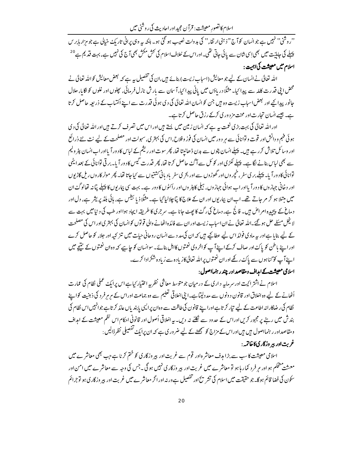اسلام کانصورِ معیشت: قرآن مجیداور احادیث کی روشی میں

"روشیٰ" نہیں ہے جو انسان کو آج "ذہنی ارتقاء" کی بدولت نصیب ہو گئی ہو۔ بلکہ ہیہ وہی پرانی تاریک خیالی ہے جو مزار ہابر س پہلے کی جاہاتیت میں بھی اِسی شان سے یائی جاتی تھی۔اوراس کے خلاف اسلام کی کش مکش بھی آج کی نہیں ہے، بہت قدیم ہے<sup>20</sup> اسلام میں معیشت کی اہمیت :

اللہ تعالیٰ نے انسان کے لیے جو معایش (اسباب زیست) بنائے ہیں،ان کی تفصیل یہ ہے کہ بعض معایش کواللہ تعالیٰ نے محض اینی قدرت کللہ سے پیدا کیا۔ مثلًا دریاؤں میں یانی پیدا کیا، آ سان سے بارش نازل فرمائی، پچلوں اور غلوں کو اگایا، حلال جانور پیدا کیے اور لبھن اسباب زیست وہ ہیں جن کو انسان اللہ تعالیٰ کی دی ہو ئی قدرت سے اپنے اکتساب کے ذریعہ حاصل کرتا ہے۔ جیسے انسان تجارت اور محنت مز دوری کرکے رزق حاصل کرتا ہے۔

اور اللہ تعالیٰ کی بہت بڑی نعمت ہہ ہے کہ انسان زمین میں پستے ہیں اور اس میں تصر ف کرتے ہیں اور اللہ تعالیٰ کی دی ہوئی فہم و دانش اور قوت و توانائی سے مر دور میں انسان کی فوز وفلاح،اس کی بہتر ی، سہولت اور مصلحت کے لیے نت نئے ذرائع اور وسائل تلاش کررہے ہیں۔ پہلے انسان پتوں سے بدن ڈھانیتا تھا، پھر سوت اور ریشم کے لباس کا دور آ یااور اب انسان پٹر ولیم سے بھی لباس بنانے لگا ہے۔ پہلے لکڑی اور کوئل سے آگۓ حاصل کرتا تھا، پھر قدرت گیس کا دور آ با۔ بر قی توانائی کے بعد ایٹمی توانائی کا دور آیا۔ پہلے بر پی سفر ، خچروں اور گھوڑوں سے اور بح پی سفر یاد پانی َشتیوں سے کیاجاتا تھا۔ پھر موٹر کاروں ریل گاڑیوں اور د خانی جہازوں کا دور آ یااور اب ہوائی جہازوں ، ہیلی کاپٹر وں اور رائٹوں کا دور ہے۔ بہت سی بیار یوں کا پہلے پتانہ تھالوگٹ ان میں مبتلا ہو کر مر جاتے تھے۔اب ان بپاریوں اور ان کے علاج کا پیاچلالیا گیا ہے۔ مثلًا ذیا بطیں ہے، ہائی بلڈ پریشر ہے، دل اور دماغ کے پیچیدہ امراض ہیں۔ فالج ہے، دماغ کی رگۓ کا پھٹ جانا ہے۔ سرجری کا طریقہ ایجاد ہوااور طب کی د نیامیں بہت سے لانچل مسئلے حل ہو گئے۔اللہ تعالیٰ نے ان اسیاب زیست اور ان سے فائدہ اٹھانے والی قوتوں کوانسان کی بہتر ی اور اس کی مصلحت کے لیے بنایا ہےاور یہ مادی فوائد اس لیے عطاکئے ہیں کہ ان کی مدد سے انسان روحانی حیات میں تنز کیہ اور جلاء کو حاصل کرے اور اپنے باطن کو پاک اور صاف کرکے اپنے آپ کواخروی نغمتوں کااہل بنائے۔ سوانسان کو جاہے کہ وہ ان نغمتوں کے نتیجے میں اپنے آپ کو گناہوں سے پاک رکھے اور ان نعمتوں پر اللہ تعالیٰ کازیادہ سے زیادہ شکرادا کرے۔

### اسلامی معیشت کے امداف ومقاصد اور چند رہنمااصول:

اسلام نے اشتر اکیت اور سرمایہ د اری کے در میان جو متوسط معاشی نظریہ اختیار کیاہے اس پرایک عملی نظام کی عمارت اُٹھانے کے لیے وہ اخلاق اور قانون دونوں سے مد دلیتاہے۔اینی اخلاقی تعلیم سے وہ جماعت اوراس کے مرمرِ فرد کی ذہنیت کواپنے نظام کی رضاکارانہ اطاعت کے لیے تیار کرتا ہےاورا پنے قانون کی طاقت سے وہ ان پرالیمی یابندیاں عائد کرتا ہے جوانہیں اس نظام کی بند ش میں رہنے پر مجبور کریں اوراس کے حدود سے نکلنے نہ دیں۔ یہ اخلاقی اُصول اور قانونی احکام اس نظم معیشت کے امداف ومقاصداور رہنمااصول ہیں ہیںاوراس کے مزاج کو سمجھنے کے لیے ضر وری ہے کہ ان پرایک تفصیلی نظر ڈالیں :

### غربت ادر بیر وزگار کی کاخاتمہ :

اسلامی معیشت کاسب سے بڑا مہرف معاشر ہ اور قوم سے غربت اور بیر وزگار کی کو ختم کرنا ہے جب بھی معاشر ے میں معشت متحکم ہو اور مر فرد کمار ہا ہو تو معاشرے میں غربت اور بیر وزگاری نہیں ہو گی۔جس کی وجہ سے معاشرے میں امن اور سکون کی فضا قائم ہوگا۔جو حقیقت میں اسلام کی تشر تح اور تفصیل ہے ورنہ اور اگر معاشر ے میں غربت اور بیر وزگاری ہو لوجرائم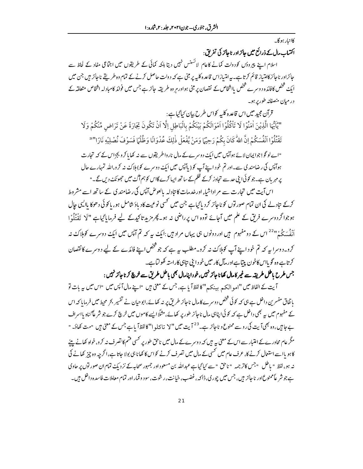کاانیار ہوگا۔

اکتساب مال کے ذرائع میں جائز اور ناجائز کی تفریق:

اسلام اپنے پیروؤں کودولت کمانے کاعام لائسنس نہیں دیتا بلکہ کمائی کے طریقوں میں اجتماعی مفاد کے لحاظ سے جائزاور ناجائز کامتیاز قائم کرتاہے۔بہ امتیازاس قاعدہ کلیہ پر مبنی ہے کہ دولت حاصل کرنے کے تمام وہ طریقے ناجائز ہیں جن میں ایک شخص کافائدہ دوسرے شخص بااشخاص کے نقصان پر مبنی ہواور ہر وہ طریقہ جائز ہے جس میں فوائد کامبادلہ اشخاص متعلقہ کے در میان منصفانه طور پر ہو۔

قرآن مجید میں اس قاعدہ کلیہ کواس طرح بیان کیا گیاہے : "يَٰٓيُّهَا الَّذِيْنَ اٰمَنُوْا لَا تَاْكُلُوْا اَمْوَالَكُمْ بَيْنَكُمْ بِالْبَاطِلِ اِلَّا اَنْ تَكُونَ تِجَارَةً عَنْ تَرَاضِ مِّنْكُمْ وَلَا تَقْتُلُوْا اَنْفُسَكُمْ إِنَّ اللهُ كَانَ بِكُمْ رَحِيًّا وَمَنْ يَّفْعَلْ ذٰلِكَ عُدْوَانًا وَظُلْمًا فَسَوْفَ نُصْلِيْهِ نَارًا'''

"اے لو گو! جوایمان لائے ہوآپس میں ایک دوسرے کے مال نار واطر پقوں سے نہ کھایا کرو بجزاس کے کہ تجارت ہوآپُس کی رضامند کی سے۔اور تم خود اپنے آپ کو ( پآپُس میں ایک دوسرے کو)ملاک نہ کرو،اللہ تمہارے حال پر مہر بان ہے۔جو کو ئی\ بنی حد سے تجاوز کرکے ظلم کے ساتھ ایپا کرے گااس کو ہم آگ میں حجیونک دیں گے۔"

اس آیت میں تجارت سے مراداشاء اور خدمات کا تادلہ پالعوض آپس کی رضامندی کے ساتھ اسے مشروط کرکے نباد لے کی ان تمام صور توں کو ناجائز کر دیا گیاہے جن میں کھی نوعیت کاد باؤ شامل ہو، یا کوئی دھوکا پاایسی حال ہوجوا گردوسرے فریق کے علم میں آجائے تووہ اس پرراضی نہ ہو۔پھر مزید تاکیدکے لیے فرمایا گیاہے "لَا تَقْتُلُوْا اَنْفُسَکُمْ"<sup>22</sup>اس کے دومفہوم ہیں اور دونوں ہی یہاں مراد ہیں:ایک یہ کہ تم آپس میں ایک دوسرے کوہلاک نہ کرو۔ دوسرا ہے کہ تم خود اپنے آپ کوہلاک نہ کرو۔مطلب ہیے ہے کہ جو شخص اپنے فائدے کے لیے دوسرے کا نقصان کرتاہے وہ گو پااس کاخون پتتاہےاور مآل کار میں خود ابنی تناہی کاراستہ کھولتاہے۔

جس طرح ماطل طریقہ سے غیر کامال کھاناجائز نہیں،خوداپنامال بھی ماطل طریق سے خرچ کرناجائز نہیں :

آیت کے الفاظ میں "امو الکہہ بینکہ" کا لفظ آیا ہے، جس کے معنی میں "اپنے مال آپس میں "اس میں یہ بات تو بانفاق مفسر <sup>من</sup> داخل ہے ہی کہ کوئی <sup>شخ</sup>ص دوسرے کامال ناجائز طریق *پر نہ* کھائے،ابوحیان نے تفسیر بحر محیط میں فرمایا کہ اس کے مفہوم میں یہ بھی داخل ہے کہ کوئی اپناہی مال ناجائز طور پر کھائے، مثلاً ایسے کاموں میں خرچ کرے جو شر عاگناہ پااسراف بے جا ہیں، وہ بھی آیت کی روسے ممنوع و ناجائز ہے۔<sup>23</sup> آیت میں "لا تاکلوا" کالفظا ٓ یا ہے جس کے معنی ہیں "مت کھاؤ۔ " مگر عام محاورےکے اعتبار سے اس کے معنی س<sub>ے</sub> ہیں کہ دوسرےکے مال میں ناحق طور پر <sup>کس</sup>ی قسم کا تصرف نہ کرو<sub>،</sub> خواہ کھانے پینے کا ہو پااسے استعال کرنے کا، عرف عام میں تھس کے مال میں تصرف کرنے کواس کا کھانا ہی بولا جاتا ہے،اگرچہ وہ چیز کھانے کی نہ ہو، لفظ " باطل "جس کاتر جمہ " ناحق " سے کیا گیاہے عبداللہ بن مسعود اور جمہور صحابہ کے نزد یک تمام ان صور توں پر حاوی ہے جو شر عاً ممنوع اور ناجائز ہیں، جس میں چور پی، ڈاکہ، غضب، خیانت، رشوت، سود و قمار اور تمام معاملات فاسدہ داخل ہیں۔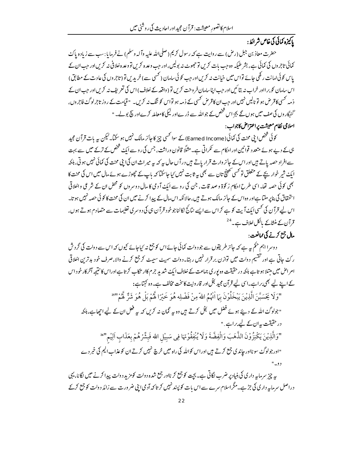# بإكيزه كمائي كي خاص شرائط:

حضرت معاذ بن جبل (رض) سے روایت ہے کہ رسول کریم (صلی\للہ علیہ وآلہ وسلم) نے فرمایا : سب سے زیادہ پاک کمائی تاجروں کی کمائی ہے، بشر طیکہ وہ جب بات کریں تو حج*و*ٹ نہ بولیں،اور جب وعدہ کریں تو وعدہ خلافی نہ کریںاور جب ان کے یاس کوئی امانت رکھی جائے تواس میں خیانت نہ کریں اور جب کوئی سامان ( کسی سے ) خریدیں تو (تاجروں کی عادت کے مطابق ) اس سامان کو بر ااور خراب نہ بتائیں اور جب اپناسامان فروخت کریں تو (واقعہ کے خلاف) اس کی تعریف نہ کریں اور جب ان کے ذمہ کسی کاقرض ہو تو ٹالیں نہیں اور جب ان کاقرض کسی کے ذمہ ہو تواس کو ننگ نہ کریں۔ " قیامت کے روز تاجرلوگ فاجروں، گنہر اوں کی صف میں ہوں گے بجز اس شخص کے جو اللہ سے ڈرےاور نیکی کامعاملہ کرےاور پیج بولے۔ " اسلامی نظام معیشت پراعتراض کاجواب :

کوئی شخص اپنی محنت کی کمائی (Earned Income) کے سواٹھسی چیز کا جائز مالک نہیں ہو سکتا۔لیکن ہہ بات قرآن مجید ہی کے دیے ہوئے متعدد قوانین اور احکام سے ٹکراتی ہے۔مثلاً قانون وراثت، جس کی روسے ایک شخص کے ترکے میں سے بہت سے افراد حصہ یاتے ہیں اور اس کے جائز وارث قرار پاتے ہیں در آں حال ہے کہ ہے میر اث ان کی اپنی محنت کی کمائی نہیں ہوتی، ہلکہ ایکٹ شیر خوار بچے کے متعلق تو کسی تھینچ تان سے بھی ہیہ ثابت نہیں کیاجا سکتا کہ باپ کے حچھوڑے ہوئے مال میں اس کی محنت کا بھی کوئی حصہ تھا۔ اسی طرح احکام زکوۃ و صد قات، جن کی رو سے ایکّ آ دمی کا مال دوسروں کو محض ان کے شرعی واخلاقی استحقاق کی بناپر ملتا ہےاور وہ اس کے جائز مالک ہوتے ہیں، حالا نکہ اس مال کے پیدا کرنے میں ان کی محنت کا کوئی حصہ نہیں ہو تا۔ اس لیے قرآن کی کسی ایک آیت کو ہے کراس سے ایسے نتائج نکالناجو خود قرآن ہی کی دوسر کی تعلیمات سے متصادم ہوتے ہوں، قرآن کے منشاکے بالکل خلاف ہے۔<sup>24</sup>

## مال جع کرنے کی ممانعت:

دوسرا اہم حکم ہیہ ہے کہ جائز طریقوں سے جو دولت کمائی جائے اس کو جمع نہ کیاجائے کیوں کہ اس سے دولت کی گرد ش رکٹ جاتی ہے اور تقسیم دولت میں توازن بر قرار نہیں رہتا۔دولت سمیٹ سہیٹ کر جمع کرنے والا،صرف خود بدترین اخلاقی امراض میں مبتلا ہو تاہے ہلکہ در حقیقت وہ پوری جماعت کے خلاف ایک شدید جرم کاار تکاب کرتاہےاوراس کا نتیجہ آخر کارخود اس کے اپنے لیے بھی براہے۔اسی لیے قرآن مجید بخل اور قارونیت کا سخت مخالف ہے۔وہ کہتاہے: "وَلَا يَخْسَبَّنَ الَّذِيْنَ يَبْخَلُوْنَ بِمَا اٰتُهُمُ اللهِّ مِنْ فَضْلِه هُوَ خَيْرًا لَّهُمْ بَلْ هُوَ شَرٌ لَّهُمْ "؟" "جولوگ اللہ کے دیئے ہوئے فضل میں لجل کرتے ہیں وہ یہ گمان نہ کریں کہ یہ فعل ان کے لیے اچھاہے،بلکہ در حقیقت بہ ان کے لیے براہے ۔" "وَالَّذِيْنَ يَكْنِزُوْنَ الذَّهَبَ وَالْفِضَّةَ وَلَا يُنْفِقُوْنَهَا فِي سَبِيْلِ الله فَبِشِّرْهُمْ بِعَذَابِ اَلِيْم''<sup>36</sup> "اور جولوگٹ سو نااور جاند کی جمع کرتے ہیں اوراس کواللہ کی راہ میں خرچ نہیں کرتے ان کو عذاب الیم کی خبر دے دو-" پہ چیز سرمایہ دار کی کی بنیاد پر ضرب لگاتی ہے۔ بچت کو جمع کر نااور جمع شدہ دولت کومزید دولت پیدا کرنے میں لگانا، یہی دراصل سرمایہ داری کی جڑہے۔مگراسلام سرے سے اس بات کو پیند نہیں کر تا کہ آدمی اپنی ضرورت سے زائد دولت کو جمع کرکے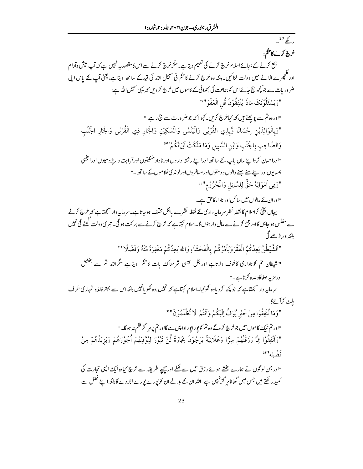$27/2$ 

خرچ کرنے کاظم: جمع کرنے کے بجائے اسلام خرچ کرنے کی تعلیم دیتاہے۔مگرخرچ کرنے سے اس کامقصد پہ نہیں ہے کہ آپ عیش وآرام اور گلچھرے اڑانے میں دولت لٹائیں۔ہلکہ وہ خرچ کرنے کاحکم فی سبیل اللہ کی قیدکے ساتھ دیتاہے،لیمنی آپ کے پاس اپنی ضر وریات سے جو پچھ نیچ جائےاس کو جماعت کی بھلائی کے کاموں میں خرچ کر دیں کہ یہی سبیل اللہ ہے: "وَيَسْئَلُوْنَكَ مَاذَا يُنْفِقُوْنَ قُلِ الْعَفْوَ"\* "اور وہ تم سے یو چھتے ہیں کہ کہاخرچ کریں۔ کہو ! کہ جو ضر ورت سے نپچ رہے۔" "وَبِالْوَالِدَيْنِ اِحْسَانًا وَّبِذِي الْقُرْبِي وَالْيَتْمٰى وَالْمُسْكِيْنِ وَالْجَارِ ذِي الْقُرْبِي وَالْجَارِ الْجُنُب وَالصَّاحِبِ بِالْجَنْبِ وَابْنِ السَّبِيلِ وَمَا مَلَكَتْ اَيْهَانُكُمْ"" "اوراحسان کرواپنے مال باپ کے ساتھ اوراپنے رشتہ داروں اور نادار مسکینوں اور قرابت دارپڑ وسیوں اورا جنبی ہمسایوںاوراپنے ملنے جلنے والوں دوستوںاور مسافر وں اورلو نڈی غلاموں کے ساتھ ۔" "وَفِي اَمْوَالِهْ حَقٌّ لِلسَّائِلِ وَالْمُحْرُوْمِ"" "اوران کے مالوں میں سائل اور نادار کاحق ہے۔" یہاں پہنچ کراسلام کانقطہ نظر سرمایہ داری کے نقطہ نظر سے بالکل مخلف ہو جاتا ہے۔سرمایہ دار سمجھتاہے کہ خرچ کرنے سے مفلس ہو جاؤں گااور جمع کرنے سے مال دار بنوں گا۔اسلام کہتاہے کہ خرچ کرنے سے برکت ہو گی۔ تیر ی دولت گھٹے گی نہیں بلکہ اور بڑھے گی۔ "اَلشَّيْطْنُ يَعِدُكُمُ الْفَقْرَوَيَاْمُرُكُمْ بِالْفَحْشَآءِ وَالله يَعِدُكُمْ مَغْفِرَةً مِّنْهُ وَفَضْلًا"" "شیطان تم کوناداری کاخوف دلاتاہے اور کجل جیسی شر مناک بات کاحکم ۔دیتاہے مگراللہ تم سے بخشش اورمز بد عطاکاوعدہ کرتاہے۔" سرمایہ دار سمجھتاہے کہ جو کچھ کردیاوہ کھوگیا۔اسلام کہتاہے کہ نہیں،وہ کھویانہیں بلکہ اس سے بہتر فائدہ تمہاری طرف بلٹ کرآئے گا۔ "وَمَا تُّنْفِقُوْا مِنْ خَيْرِ يُوَفَّ اِلَيْكُمْ وَاَنْتُمْ لَا تُظْلَمُوْنَ"" "اور تم نيڪ کاموں ميں جو خرچ کر دگے وہ تم کو پورايوراوا پس ملے گااور تم پر ہر گز ظلم نہ ہوگا۔" "وَاَنْفِقُوْا مِمَّا رَزَقْنْهُمْ سِرًّا وَعَلَانِيَةً يَرْجُوْنَ تِجَارَةً لَّنْ تَبُوْرَ لِيُوَّفِيهُمْ أُجُوْرَهُمْ وَيَزِيْدُهُمْ مِنْ فَضْله " "اور جن لو گوں نے ہمارے بخشے ہوئے رزق میں سے کھلے اور چھپے طریقہ سے خرچ کیادہ ایک ایک تجارت کی اُمیدر کھتے ہیں جس میں گھاٹامر گزنہیں ہے۔اللہ ان کے بدلے ان کو پورے پورے اجردے گا ہلکہ اپنے فضل سے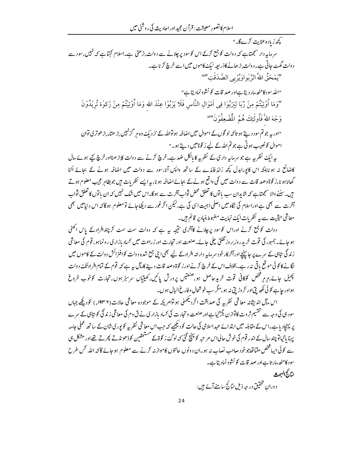کچھ زیادہ عنایت کرےگا۔" سرماہہ دار سمجتاہے کہ دولت کو جمع کرکے اس کوسود پر چلانے سے دولت بڑھتی ہے۔اسلام کہتاہے کہ نہیں،سود سے دولت گھٹ جاتی ہے۔دولت بڑھانے کاذرابعہ نیک کاموں میں اسے خرچ کرناہے۔ "يَمْحَقُّ اللَّهُ الرِّبُواوَيُرْبِي الصَّدَقْتِ"<sup>341</sup> "الله سود کامٹھ مار دیتاہےاور صد قات کو نشوونمادیتاہے" "وَمَا أُوْتِيْتُمْ مِنْ رِّبَا لِيَرْبُوَا فِي اَمْوَالِ النَّاسِ فَلَا يَرْبُوْا عِنْدَ الله وَمَا أُوْتِيْتُمْ مِنْ زَكوٰة تُرِيْدُوْنَ وَجْهَ اللَّهُ فَأُولَٰئِكَ هُمُ الْمُضْعِفُوْنَ''35 "اور بہ جو تم سو د دیتے ہو تاکہ لو گوں کے اموال میں اضافہ ہو تواللہ کے نز دیک وہ ہر گزنہیں بڑ ھتا۔بڑ ھوتری توان اموال کونصیب ہوتی ہے جو تم اللہ کے لیے ز کوۃ ہیں دیتے ہو۔"

یہ ایک نظر یہ ہے جوسر مایہ داری کے نظر یہ کا پالکل ضد ہے۔خرچ کرنے سے دولت کابڑ ھنااورخرچ کے ہوئے مال کاضائع نہ ہو ناہلکہ اس کاپوراہدل کچھ زائد فائدے کے ساتھ واپس آنا،سود سے دولت میں اضافہ ہونے کے بحائے اُلٹا گھاٹاہو نا،ز کوۃ وصد قات سے دولت میں کمی واقع ہونےکے بجائےاضافیہ ہو نا، بیہ ایسے نظریات میں جوبظاہر عجیب معلوم ہوتے ہیں۔سننے والا سمجھتاہے کہ شاہدان سب باتوں کا تعلق محض ثواب آخرت سے ہوگا۔اس میں شک نہیں کہ ان باتوں کا تعلق ثواب آخرت سے بھی ہے اوراسلام کی نگاہ میں اصلی اہمیت اسی کی ہے،لیکن اگرغور سے دیکھاجائے تومعلوم ہوگا کہ اس د نیامیں بھی معاشی حیثیت سے بہ نظریات ایک نہایت مضبوط بنیادیر قائم ہیں۔

دولت کو جمع کرنے اوراس کوسود پرچلانے کاآخری نتیجہ یہ ہے کہ دولت سمٹ سمٹ کر چندافرادکے پاس اٹھٹی ہوجائے۔جمہور کی قوت خریدروزبر وز گھُٹتی چلی جائے۔صنعت اور تحارت اور زراعت میں کساد بازار کی رونماہو، قوم کی معاش زندگی نتاہی کے سرے پر جاپہنچے اورآخر کارخود سرمایہ دارانہ افرادکے لیے بھی اپنی جمع شدہ دولت کوافنرائش دولت کے کاموں میں لگانے کا کوئی موقع پاتی نہ رہے۔بخلاف اس کے خرچ کرنے اور زکوۃ وصد قات دینے کامآل بیہ ہے کہ قوم کے تمام افراد تک د ولت پھیل جائے،ہرہر فتحص کوکافی قوت خریدحاصل ہو،صنعتیں پرورش پائیں،کھیتاں سرسبز ہوں،تجارت کوخوب فروغ ہواور جاہے کو ئی لکھ بی اور کر وڑیں نہ ہو،مگرسپ خوشحال وفارغ البال ہوں۔

اس مآل اندیثانہ معاشی نظریہ کی صداقت اگردیکھنی ہواتوامر پکہ کے موجودہ معاشی حالات(۱۹۳۶ء) کودیکھے جہاں سود ہی کی وجہ سے تقسیم ثروت کاتوازن بگڑ گیاہےاور صنعت وتحارت کی کساد بازاری نے ق وم کی معاشی زند گی کو بتاہی کے سرے یر پہنچاد پاہے۔اس کے مقابلہ میں ابتدائے عہداسلامی کی حالت کود پھیے کہ جب اس معاشی نظریہ کو یور کی شان کے ساتھ عملی جامہ یہنا پا<sup>ی</sup>پاتو چند سال کے اندر قوم کی خوش حالی اس مریتبہ کو پنتچ گئی کہ لوگۓ ز کوۃ کے مستحقین کوڈھونڈتے پھرتے تھے اور مشکل ہی سے کوئی ایپا ٹخص ملیاتھاجوخود صاحب نصاب نہ ہو۔ان دونوں حالتوں کاموازنہ کرنے سے معلوم ہوجائے گاکہ اللہ کس طرح سود کامٹھ مار تاہےاور صد قات کو نشوونمادیتاہے۔

بتارج البحث

دوران تحقیق در جه ذیل نتائج سامنے آئے ہیں :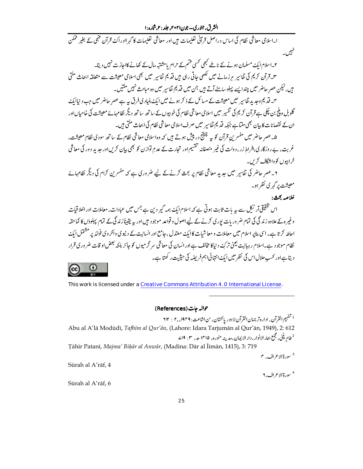ا۔اسلامی معاشی نظام کی اساس دراصل قرآنی تعلیمات ہیں اور معاشی تعلیمات کا گہراادراک<sup>ے</sup> قرآن فہمی کے بغیر ممکن نہیں۔<br>تنگیس۔

۲۔اسلام ایک مسلمان ہونےکے ناطے کبھی کسی قسم کے حرام یا مشتبہ مال کے کھانے کااحازت نہیں دیتا۔ ۳۔قرآن کریم کی تفاسیر مرزمانے میں لکھی جاتی رہی ہیں قدیم تفاسیر میں بھی اسلامی معیشت سے متعلقہ ابحاث ملتی ہیں،لیکن عصر حاضر میں چندایسے پہلوسامنے آتے ہیں جن میں قدیم تفاسیر میں وہ مباحث نہیں مکتیں۔

م۔ قدیم دجد بد تفاسیر میں معیشت کے مسائل کے ذکر ہونے میں ای<sub>ک</sub> بنیادی فرق *ہے ہے عصرِ* حاضر میں جب دیناایک گلوبل ویلج بن چکی ہے قرآن کریم کی تفسیر میں اسلامی معاشی نظام کی خوبپوں کے ساتھ ساتھ دیگر نظامہائے معیشت کی خامیاں اور ان کے نقصانات کا بیان بھی ملتاہے جبکہ قدیم تفاسیر میں صرف اسلامی معاشی نظام کی ابحاث ملتی ہیں۔

۵۔عصر حاضر میں مفسر <sup>ہ</sup>ن قرآن کو <sub>سے</sub> چیلنج در پیش ہوتے ہیں کہ وہ اسلامی معاشی نظام کے ساتھ سودی نظامِ معیشت، غربت، بے روزگاری،افراط زر، دولت کی غیر منصفانہ تقسیم اور تجارت کے عدمِ توازن کو بھی بیان کرس اور جدید دور کی معاشی خرابہوں کو دایٹرگاف کریں۔

y۔عصر حاضر کی تفاسیر میں حدید معاشی نظام پر بجث کرنے کے لیے ضروری ہے کہ مفسرین کرام کی دیگر نظامہائے معیشت پر گہر کی نظر ہو۔

#### خلاصه بحث:

اس تحقیقی آر ٹرکل سے پہ بات ثابت ہو تی ہے کہ اسلام ایک ہمہ گیر دین ہے جس میں عبادات، معاملات اور اخلا قیات وغیر ہ کے علاوہ زندگی کی تمام ضروریات پوری کرنے کے لیے اصول و قواعد موجود ہیں اور پہ یقیناً زندگی کے تمام پہلوؤں کا کماحقہ احاطہ کرتا ہے۔اسی بناپر اسلام میں معاملات و معا شبات کا ایک معتدل ،حامع اور انسانیت کے دینیوی واُخروی فوائد پر مشتمل ایک نظام موجود ہے۔اسلام رہبانیت یعنی ترکۓ د نیاکا مخالف ہےاور انسان کی معاشی سر گرمیوں کو جائز بلکہ بعض او قات ضر وری قرار دیتاہےاور کسب حلال اس کی نظر میں ایک انتہائی اہم فریضہ کی حیثیت رکھتا ہے۔



This work is licensed under a Creative Commons Attribution 4.0 International License.

حوالہ جات (References)

<sup>1</sup> تفهيم القرآن، اداره تر جمان القرآن لاءور ياكتتان، <sup>س</sup>ن اشاعت : ٢ ° ١٩٢ : ٢ ٣ Abu al A'lā Modūdī, Tafhīm al Qur'ān, (Lahore: Idara Tarjumān al Qur'ān, 1949), 2: 612 <sup>2</sup>طام پٹنی،مجمع بجار الانوار ، دار الا پہان،مدینہ منورہ، ۱۴۱۵ ھے، ۲ : ۱۹ کے

Tāhir Patanī, Majma' Bihār al Anwār, (Madina: Dār al Īimān, 1415), 3: 719

<sup>3</sup> سورة الاع اف، ۴

Sūrah al A'rāf, 4

<sup>4</sup> سورة الاع اف, ۲

Sūrah al A'rāf, 6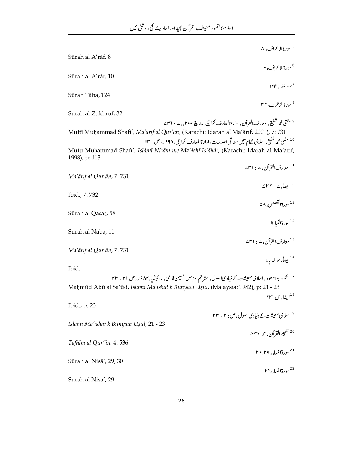$\overline{a}$ 

|                                                                                                                                           | <sup>5</sup> سورة الاعراف، ۸                                                                           |
|-------------------------------------------------------------------------------------------------------------------------------------------|--------------------------------------------------------------------------------------------------------|
| Sūrah al A'rāf, 8                                                                                                                         |                                                                                                        |
| Sūrah al A'rāf, 10                                                                                                                        | <sup>6</sup> سورةالاعراف، •ا                                                                           |
|                                                                                                                                           | $15^7$ سورة طه، ۱۲۴                                                                                    |
| Sūrah Țāha, 124                                                                                                                           |                                                                                                        |
| Sūrah al Zukhruf, 32                                                                                                                      | <sup>8</sup> سورةالزخرف، ۲۲                                                                            |
|                                                                                                                                           | <sup>9</sup> مفتی محمد شفیع ، معارف القرآن، ادارةالمعارف کراچی،مارچ ۲۰۰۱ء، ۷ : ۳۱ س                    |
| Muftī Muḥammad Shafī', Ma'ārif al Qur'ān, (Karachi: Idarah al Ma'ārif, 2001), 7: 731                                                      |                                                                                                        |
|                                                                                                                                           | <sup>10</sup> مفتی محم <i>د شف</i> یع، اسلامی نظام میں معاشی اصلاحات،ادارۃالمعارف کراچی،۱۹۹۸ء، ص:  ۱۱۳ |
| Muftī Muhammad Shafī', Islāmī Nizām me Ma'āshī Islāhāt, (Karachi: Idarah al Ma'ārif,<br>1998), p: 113                                     |                                                                                                        |
|                                                                                                                                           | <sup>11</sup> معارف القرآن، <sup>2</sup> : ۳۱                                                          |
| Ma'ārif al Qur'ān, 7:731                                                                                                                  |                                                                                                        |
|                                                                                                                                           | $\angle \mathsf{r} \mathsf{r} : \angle \int \sin^{12}$                                                 |
| Ibid., 7:732                                                                                                                              | <sup>13</sup> سورة القصص ۵۸                                                                            |
| Sūrah al Qaşaş, 58                                                                                                                        |                                                                                                        |
|                                                                                                                                           | <sup>14</sup> سورةالنبا،اا                                                                             |
| Sūrah al Nabā, 11                                                                                                                         |                                                                                                        |
| Ma'ārif al Qur'ān, 7:731                                                                                                                  | <sup>15</sup> معارف القرآن، <sup>ے</sup> : ۳۱ سے                                                       |
|                                                                                                                                           | <sup>16</sup> ايضاً، حوالہ بالا                                                                        |
| Ibid.                                                                                                                                     |                                                                                                        |
| <sup>17</sup> محمودابوالسعود ، اسلامی معیشت کے بنیادی اصول، متر حج <sub>ا</sub> مزمل حسین فلاحی، ملائیشیا، ۱۹۸۲ <sub>ء ،</sub> ص :۲۱ - ۲۳ |                                                                                                        |
| Maḥmūd Abū al Sa'ūd, Islāmī Ma'īshat k Bunyādī Uṣūl, (Malaysia: 1982), p: 21 - 23                                                         | $\mathsf{r}\mathsf{r}$ ايضا، ص $^{18}$                                                                 |
| Ibid., p: 23                                                                                                                              |                                                                                                        |
|                                                                                                                                           | <sup>19</sup> اسلامی معیشت کے بنیادی اصول ، ص ۲۱: - ۲۳                                                 |
| Islāmī Ma'īshat k Bunyādī Usūl, 21 - 23                                                                                                   |                                                                                                        |
| Tafhīm al Qur'ān, 4:536                                                                                                                   | <sup>20 ت</sup> فہيم القرآن، <sub>٢: ٥</sub> ٣٦                                                        |
|                                                                                                                                           | $r^{\bullet}, r^{\bullet}$ رةالنساء، ۲۹، ۲۰ $^{21}$                                                    |
| Sūrah al Nisā', 29, 30                                                                                                                    |                                                                                                        |
|                                                                                                                                           | <sup>22</sup> سورةالنسا <sub>ء</sub> ، ۲۹                                                              |
| Sūrah al Nisā', 29                                                                                                                        |                                                                                                        |